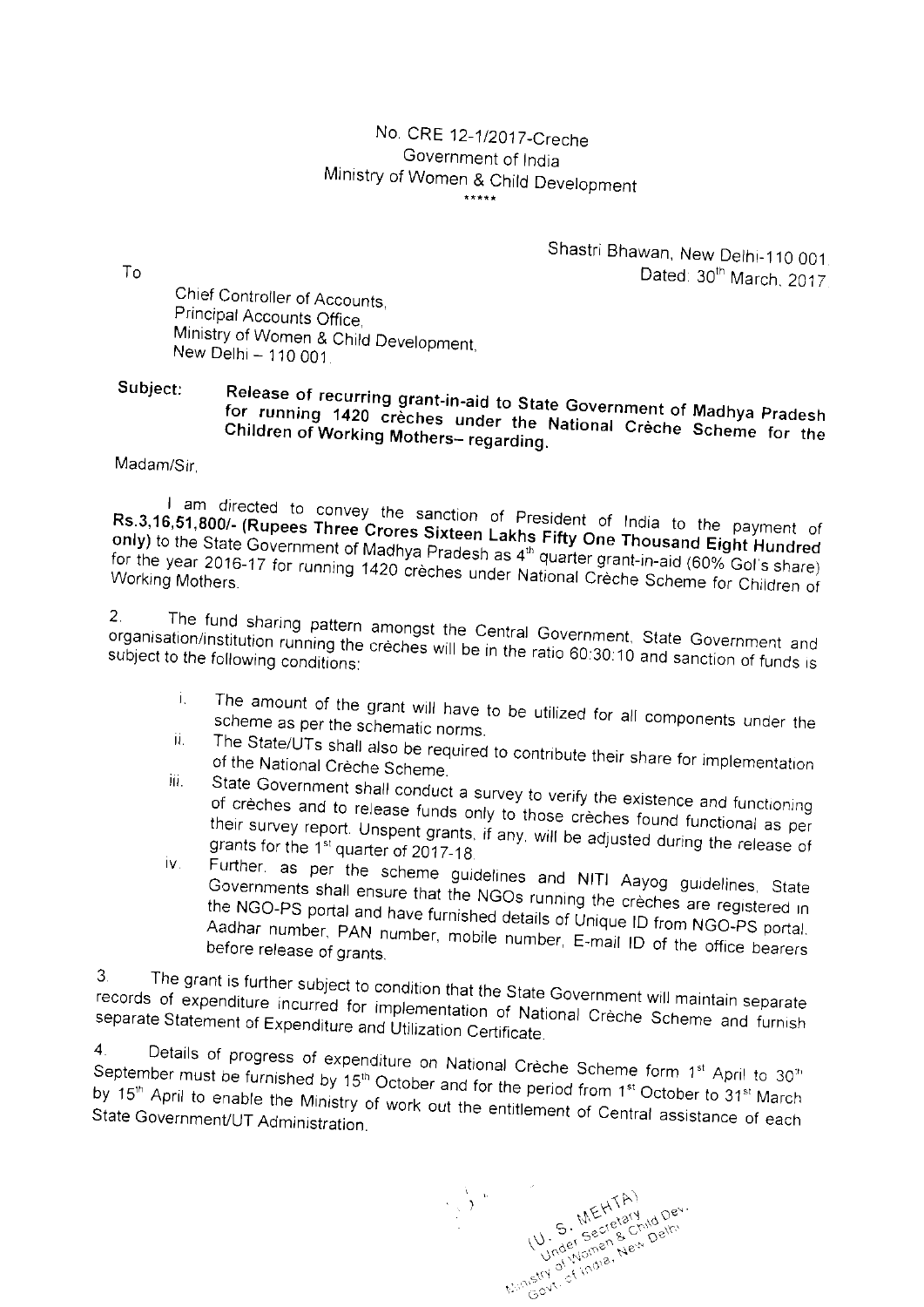## No. CRE 12-1/2017-Creche Government of India Ministry of Women & Child Development  $***$

 $To$ 

Shastri Bhawan, New Delhi-110 001. Dated: 30th March, 2017.

Chief Controller of Accounts, Principal Accounts Office, Ministry of Women & Child Development, New Delhi - 110 001.

## Subject: Release of recurring grant-in-aid to State Government of Madhya Pradesh for running 1420 creches under the National Creche Scheme for the Children of Working Mothers- regarding.

Madam/Sir

I am directed to convey the sanction of President of India to the payment of Rs.3,16,51,800/- (Rupees Three Crores Sixteen Lakhs Fifty One Thousand Eight Hundred only) to the State Government of Madhya Pradesh as 4<sup>th</sup> quarter grant-in-aid (60% Gol's share) for the year 2016-17 for running 1420 crèches under National Crèche Scheme for Children of

The fund sharing pattern amongst the Central Government, State Government and  $2.$ organisation/institution running the creches will be in the ratio 60:30:10 and sanction of funds is subject to the following conditions:

- The amount of the grant will have to be utilized for all components under the i. scheme as per the schematic norms. ii.
- The State/UTs shall also be required to contribute their share for implementation of the National Crèche Scheme. iji.
- State Government shall conduct a survey to verify the existence and functioning of crèches and to release funds only to those crèches found functional as per their survey report. Unspent grants, if any, will be adjusted during the release of grants for the 1<sup>st</sup> quarter of 2017-18
- Further, as per the scheme guidelines and NITI Aayog guidelines, State iv. Governments shall ensure that the NGOs running the crèches are registered in the NGO-PS portal and have furnished details of Unique ID from NGO-PS portal. Aadhar number, PAN number, mobile number, E-mail ID of the office bearers before release of grants.

The grant is further subject to condition that the State Government will maintain separate  $3.$ records of expenditure incurred for implementation of National Crèche Scheme and furnish separate Statement of Expenditure and Utilization Certificate.

Details of progress of expenditure on National Crèche Scheme form 1st April to 30"  $\overline{4}$ . September must be furnished by 15<sup>th</sup> October and for the period from 1<sup>st</sup> October to 31<sup>st</sup> March by 15<sup>th</sup> April to enable the Ministry of work out the entitlement of Central assistance of each State Government/UT Administration.

thinstant of india, the child per-